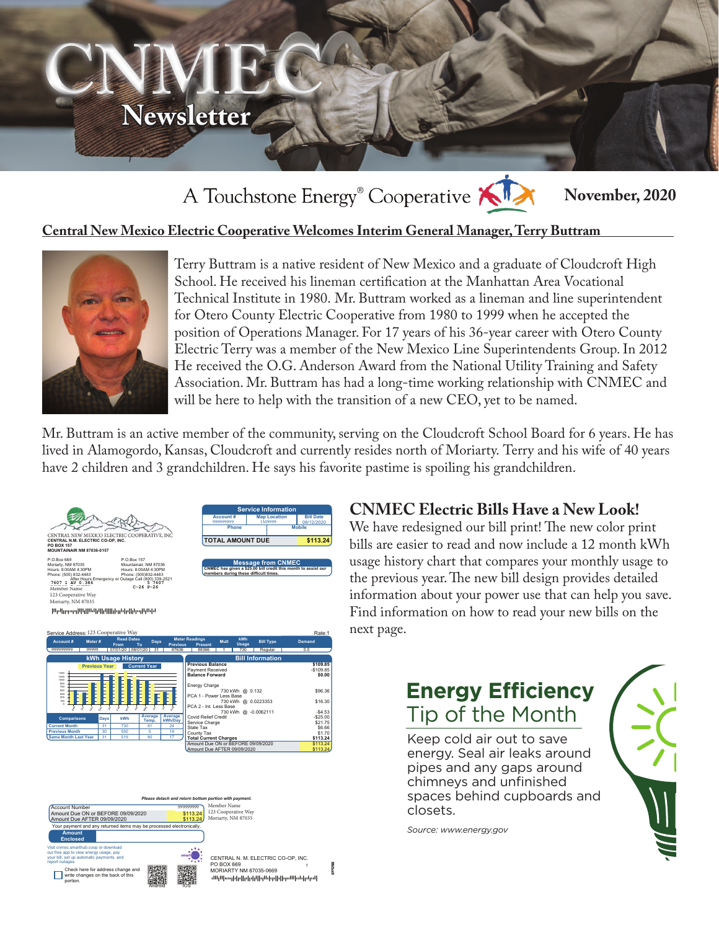

#### A Touchstone Energy<sup>®</sup> Cooperative K **November, 2020**

### **Central New Mexico Electric Cooperative Welcomes Interim General Manager, Terry Buttram**



Terry Buttram is a native resident of New Mexico and a graduate of Cloudcroft High School. He received his lineman certification at the Manhattan Area Vocational Technical Institute in 1980. Mr. Buttram worked as a lineman and line superintendent for Otero County Electric Cooperative from 1980 to 1999 when he accepted the position of Operations Manager. For 17 years of his 36-year career with Otero County Electric Terry was a member of the New Mexico Line Superintendents Group. In 2012 He received the O.G. Anderson Award from the National Utility Training and Safety Association. Mr. Buttram has had a long-time working relationship with CNMEC and will be here to help with the transition of a new CEO, yet to be named.

Mr. Buttram is an active member of the community, serving on the Cloudcroft School Board for 6 years. He has lived in Alamogordo, Kansas, Cloudcroft and currently resides north of Moriarty. Terry and his wife of 40 years have 2 children and 3 grandchildren. He says his favorite pastime is spoiling his grandchildren.

> $$ fEu#2k+cV a!a!a!aaa!!!!!a!



**Temp. Average kWh/Day**

**Total C** 

Sep ð Nov Dec Jan Feb Mar Apr May Jun 2 Aug

**Comparisons Days kWh Average**

**Current Month** | 31 | 730 | 81 | 24 **Previous Month** | 30 | 550 | 0 | 18 **Same Month Last Year | 31 | 519 | 80 | 17** 

0

| Account#<br>999999999   | <b>Map Location</b><br>1M9999 | <b>Bill Date</b><br>08/12/2020 |  |  |  |
|-------------------------|-------------------------------|--------------------------------|--|--|--|
| Phone                   | <b>Mobile</b>                 |                                |  |  |  |
| <b>TOTAL AMOUNT DUE</b> |                               | \$113.24                       |  |  |  |
|                         |                               |                                |  |  |  |
|                         |                               |                                |  |  |  |
|                         | <b>Message from CNMEC</b>     |                                |  |  |  |

Service Charge \$21.75 State Tax \$6.66 County Tax \$1.70

Amount Due ON or BEFORE 09/09/2020 \$113.24 Amount Due AFTER 09/09/2020 \$113.24

### **CNMEC Electric Bills Have a New Look!**

We have redesigned our bill print! The new color print bills are easier to read and now include a 12 month kWh usage history chart that compares your monthly usage to the previous year. The new bill design provides detailed information about your power use that can help you save. Find information on how to read your new bills on the next page.

## **Energy Efficiency** Tip of the Month

Keep cold air out to save energy. Seal air leaks around pipes and any gaps around chimneys and unfinished spaces behind cupboards and closets.

*Source: www.energy.gov*